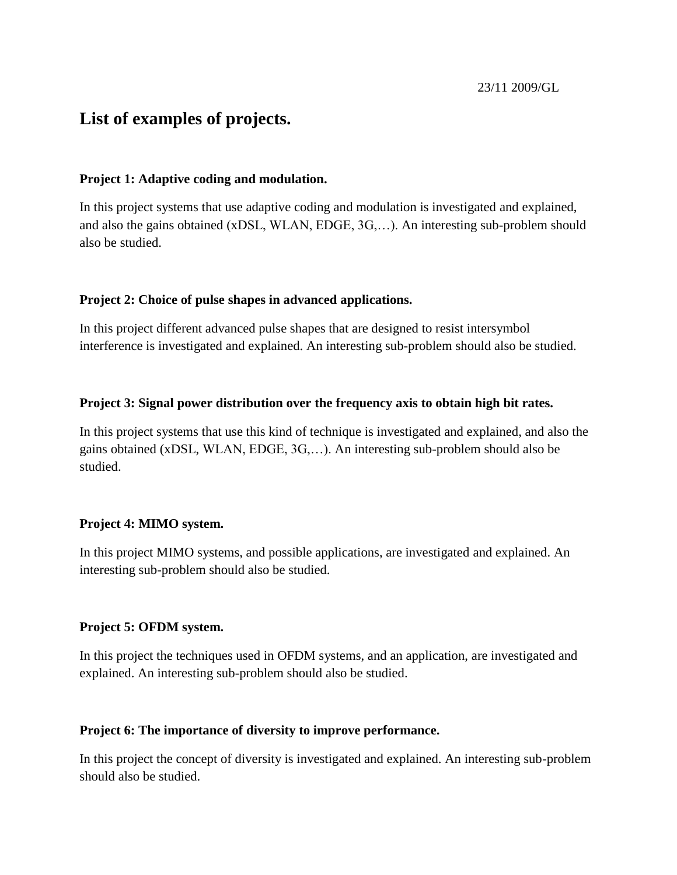# **List of examples of projects.**

### **Project 1: Adaptive coding and modulation.**

In this project systems that use adaptive coding and modulation is investigated and explained, and also the gains obtained (xDSL, WLAN, EDGE, 3G,…). An interesting sub-problem should also be studied.

### **Project 2: Choice of pulse shapes in advanced applications.**

In this project different advanced pulse shapes that are designed to resist intersymbol interference is investigated and explained. An interesting sub-problem should also be studied.

### **Project 3: Signal power distribution over the frequency axis to obtain high bit rates.**

In this project systems that use this kind of technique is investigated and explained, and also the gains obtained (xDSL, WLAN, EDGE, 3G,…). An interesting sub-problem should also be studied.

# **Project 4: MIMO system.**

In this project MIMO systems, and possible applications, are investigated and explained. An interesting sub-problem should also be studied.

#### **Project 5: OFDM system.**

In this project the techniques used in OFDM systems, and an application, are investigated and explained. An interesting sub-problem should also be studied.

#### **Project 6: The importance of diversity to improve performance.**

In this project the concept of diversity is investigated and explained. An interesting sub-problem should also be studied.